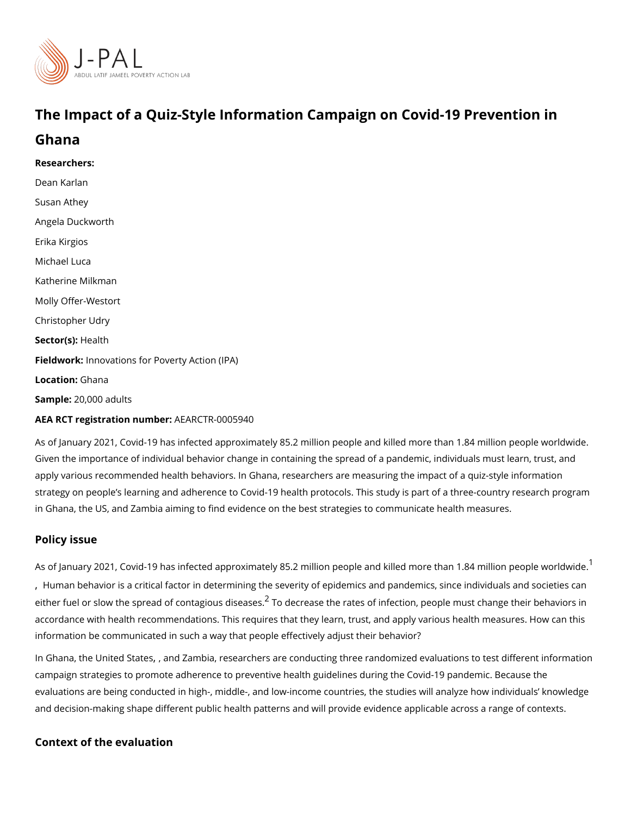## The Impact of a Quiz-Style Information Campaign on Covid-19

Ghana

Researchers: [Dean Ka](https://www.povertyactionlab.org/person/karlan)rlan Susan Athey Angela Duckworth Erika Kirgios Michael Luca Katherine Milkman Molly Offer-Westort [Christopher](https://www.povertyactionlab.org/person/udry) Udry Sector(**s**)  $\ast$  alth Fieldworkhovations for Poverty Action (IPA) Locatio G:hana  $S$ ampl $Q:0,000$  adults AEA RCT registration ArEuAnRbGeTR-0005940

As of January 2021, Covid-19 has infected approximately 85.2 million people and killed m Given the importance of individual behavior change in containing the spread of a pandemi apply various recommended health behaviors. In Ghana, researchers are measuring the im strategy on people s learning and adherence to Covid-19 health protocols. This study is p in Ghana, the *US* m**aima** ming to find evidence on the best strategies to communicate health

## Policy issue

As of January 202[1](#page-1-0), Covid-19 has infected approximately 85.2 million people and killed m [,](#page-1-0) Human behavior is a critical factor in determining the severity of epidemics and pandem either fuel or slow the spread of  $c\,\sigma$ nTtagdecsedisse abesrates of infection, people must chang accordance with health recommendations. This requires that they learn, trust, and apply v information be communicated in such a way that people effectively adjust their behavior?

In Ghana[,](https://www.povertyactionlab.org/evaluation/impact-quiz-style-information-campaign-covid-19-prevention-united-states) United State Bash , and Exerchers are conducting three randomized evaluations to test different informations to test different informations to test different informations in the state of the conductions in the st campaign strategies to promote adherence to preventive health guidelines during the Covi evaluations are being conducted in high-, middle-, and low-income countries, the studies and decision-making shape different public health patterns and will provide evidence appl

Context of the evaluation